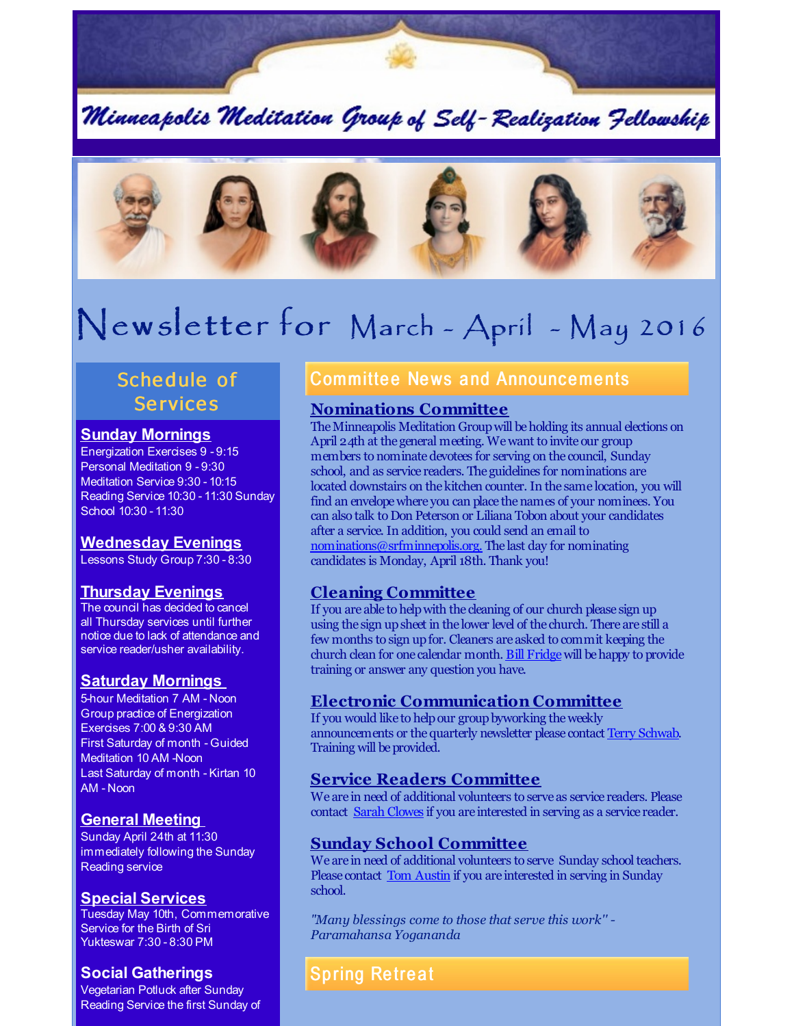

Minneapolis Meditation Group of Self-Realization Fellowship



# Newsletter for March - April - May 2016

# Schedule of **Services**

#### **Sunday Mornings**

Energization Exercises 9 - 9:15 Personal Meditation 9 - 9:30 Meditation Service 9:30 - 10:15 Reading Service 10:30 - 11:30 Sunday School 10:30 - 11:30

#### **Wednesday Evenings**

Lessons Study Group 7:30 - 8:30

#### **Thursday Evenings**

The council has decided to cancel all Thursday services until further notice due to lack of attendance and service reader/usher availability.

#### **Saturday Mornings**

5-hour Meditation 7 AM - Noon Group practice of Energization Exercises 7:00 & 9:30 AM First Saturday of month - Guided Meditation 10 AM -Noon Last Saturday of month - Kirtan 10 AM - Noon

#### **General Meeting**

Sunday April 24th at 11:30 immediately following the Sunday Reading service

#### **Special Services**

Tuesday May 10th, Commemorative Service for the Birth of Sri Yukteswar 7:30 - 8:30 PM

#### **Social Gatherings**

Vegetarian Potluck after Sunday Reading Service the first Sunday of

# **Committee News and Announcements**

#### **Nominations Committee**

The Minneapolis Meditation Group will be holding its annual elections on April 24th at the general meeting. Wewant to invite our group members to nominatedevotees for serving on the council, Sunday school, and as service readers. The guidelines for nominations are located downstairs on the kitchen counter. In the same location, you will find an envelope where you can place the names of your nominees. You can also talk to Don Peterson or Liliana Tobon about your candidates after a service. In addition, you could send an email to [nominations@srfminnepolis.org.](mailto:nominations@srfminnepolis.org) The last day for nominating candidates is Monday, April 18th. Thank you!

#### **Cleaning Committee**

If you are able to helpwith the cleaning of our church please sign up using the sign upsheet in the lower level of the church. There are still a few months to sign upfor. Cleaners are asked to commit keeping the church clean for one calendar month. Bill [Fridge](mailto:williamfridge8976@gmail.com) will be happy to provide training or answer any question you have.

## **Electronic Communication Committee**

If you would like to help our group byworking the weekly announcements or the quarterly newsletter please contact Terry [Schwab](mailto:terry@schwabreg.com). Training will be provided.

#### **Service Readers Committee**

We are in need of additional volunteers to serve as service readers. Please contact Sarah [Clowes](mailto:clowessl@aol.com) if you are interested in serving as a service reader.

#### **Sunday School Committee**

We are in need of additional volunteers to serve Sunday school teachers. Please contact **Tom [Austin](mailto:tomaustin12@hotmail.com)** if you are interested in serving in Sunday school.

*"Many blessings come to those that serve this work'' - Paramahansa Yogananda*

# **Spring Retreat**